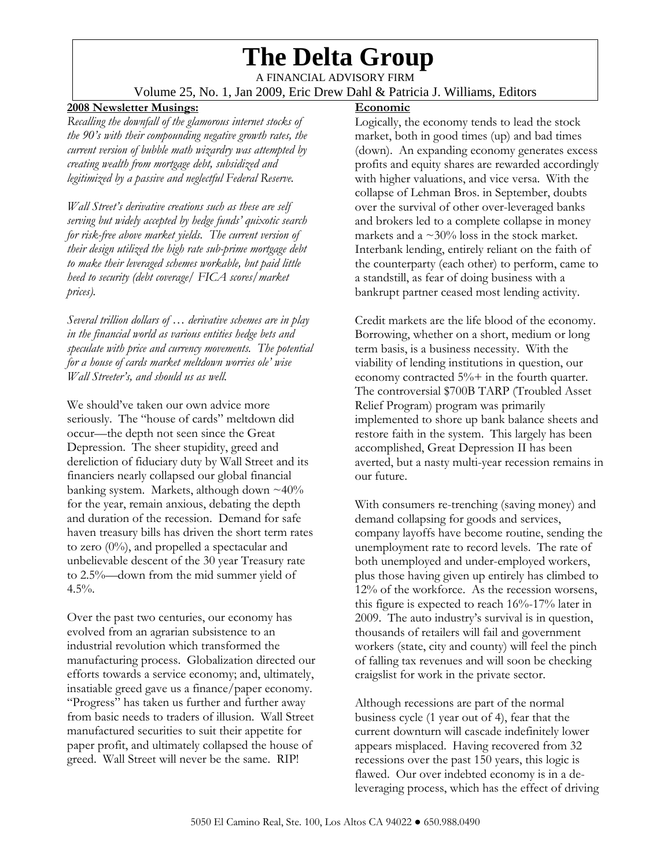# **The Delta Group**

A FINANCIAL ADVISORY FIRM Volume 25, No. 1, Jan 2009, Eric Drew Dahl & Patricia J. Williams, Editors

### **2008 Newsletter Musings:**

*Recalling the downfall of the glamorous internet stocks of the 90's with their compounding negative growth rates, the current version of bubble math wizardry was attempted by creating wealth from mortgage debt, subsidized and legitimized by a passive and neglectful Federal Reserve.* 

*Wall Street's derivative creations such as these are self serving but widely accepted by hedge funds' quixotic search for risk-free above market yields. The current version of their design utilized the high rate sub-prime mortgage debt to make their leveraged schemes workable, but paid little heed to security (debt coverage/ FICA scores/market prices).* 

*Several trillion dollars of … derivative schemes are in play in the financial world as various entities hedge bets and speculate with price and currency movements. The potential for a house of cards market meltdown worries ole' wise Wall Streeter's, and should us as well.* 

We should've taken our own advice more seriously. The "house of cards" meltdown did occur—the depth not seen since the Great Depression. The sheer stupidity, greed and dereliction of fiduciary duty by Wall Street and its financiers nearly collapsed our global financial banking system. Markets, although down  $\sim$ 40% for the year, remain anxious, debating the depth and duration of the recession. Demand for safe haven treasury bills has driven the short term rates to zero  $(0\%)$ , and propelled a spectacular and unbelievable descent of the 30 year Treasury rate to 2.5%—down from the mid summer yield of  $4.5%$ .

Over the past two centuries, our economy has evolved from an agrarian subsistence to an industrial revolution which transformed the manufacturing process. Globalization directed our efforts towards a service economy; and, ultimately, insatiable greed gave us a finance/paper economy. "Progress" has taken us further and further away from basic needs to traders of illusion. Wall Street manufactured securities to suit their appetite for paper profit, and ultimately collapsed the house of greed. Wall Street will never be the same. RIP!

## **Economic**

Logically, the economy tends to lead the stock market, both in good times (up) and bad times (down). An expanding economy generates excess profits and equity shares are rewarded accordingly with higher valuations, and vice versa. With the collapse of Lehman Bros. in September, doubts over the survival of other over-leveraged banks and brokers led to a complete collapse in money markets and a  $\sim$ 30% loss in the stock market. Interbank lending, entirely reliant on the faith of the counterparty (each other) to perform, came to a standstill, as fear of doing business with a bankrupt partner ceased most lending activity.

Credit markets are the life blood of the economy. Borrowing, whether on a short, medium or long term basis, is a business necessity. With the viability of lending institutions in question, our economy contracted 5%+ in the fourth quarter. The controversial \$700B TARP (Troubled Asset Relief Program) program was primarily implemented to shore up bank balance sheets and restore faith in the system. This largely has been accomplished, Great Depression II has been averted, but a nasty multi-year recession remains in our future.

With consumers re-trenching (saving money) and demand collapsing for goods and services, company layoffs have become routine, sending the unemployment rate to record levels. The rate of both unemployed and under-employed workers, plus those having given up entirely has climbed to 12% of the workforce. As the recession worsens, this figure is expected to reach 16%-17% later in 2009. The auto industry's survival is in question, thousands of retailers will fail and government workers (state, city and county) will feel the pinch of falling tax revenues and will soon be checking craigslist for work in the private sector.

Although recessions are part of the normal business cycle (1 year out of 4), fear that the current downturn will cascade indefinitely lower appears misplaced. Having recovered from 32 recessions over the past 150 years, this logic is flawed. Our over indebted economy is in a deleveraging process, which has the effect of driving